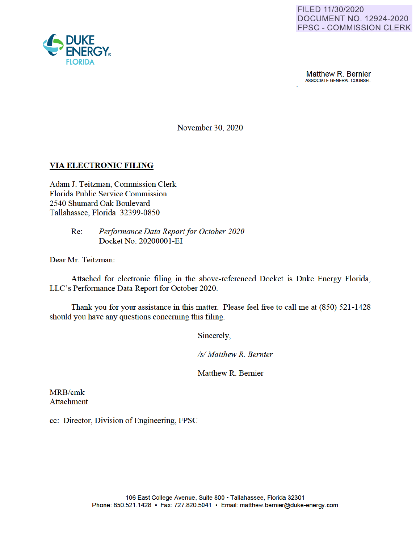

**Matthew R. Bernier**<br>ASSOCIATE GENERAL COUNSEL

November 30, 2020

# **VIA ELECTRONIC FILING**

Adam J. Teitzman, Commission Clerk Florida Public Service Commission 2540 Shumard Oak Boulevard Tallahassee, Florida 32399-0850

> Re: *Performance Data Report for October 2020*  Docket No. 2020000 I-EI

Dear Mr. Teitzman:

Attached for electronic filing in the above-referenced Docket is Duke Energy Florida, LLC's Performance Data Report for October 2020.

Thank you for your assistance in this matter. Please feel free to call me at (850) 521-1428 should you have any questions concerning this filing.

Sincerely

*Isl Matthew R. Bernier* 

Matthew R. Bernier

MRB/cmk Attachment

cc: Director, Division of Engineering, FPSC

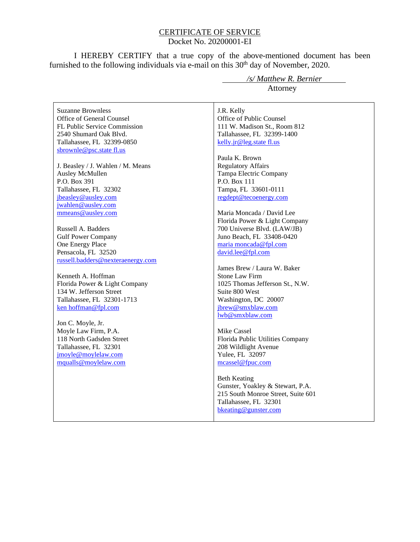### CERTIFICATE OF SERVICE Docket No. 20200001-EI

I HEREBY CERTIFY that a true copy of the above-mentioned document has been furnished to the following individuals via e-mail on this  $30<sup>th</sup>$  day of November, 2020.

Suzanne Brownless Office of General Counsel FL Public Service Commission 2540 Shumard Oak Blvd. Tallahassee, FL 32399-0850 sbrownle@psc.state fl.us

J. Beasley / J. Wahlen / M. Means Ausley McMullen P.O. Box 391 Tallahassee, FL 32302 jbeasley@ausley.com jwahlen@ausley.com mmeans@ausley.com

Russell A. Badders Gulf Power Company One Energy Place Pensacola, FL 32520 russell.badders@nexteraenergy.com

Kenneth A. Hoffman Florida Power & Light Company 134 W. Jefferson Street Tallahassee, FL 32301-1713 ken hoffman@fpl.com

Jon C. Moyle, Jr. Moyle Law Firm, P.A. 118 North Gadsden Street Tallahassee, FL 32301 jmoyle@moylelaw.com mqualls@moylelaw.com

 */s/ Matthew R. Bernier* Attorney

J.R. Kelly Office of Public Counsel 111 W. Madison St., Room 812 Tallahassee, FL 32399-1400 kelly.jr@leg.state fl.us

Paula K. Brown Regulatory Affairs Tampa Electric Company P.O. Box 111 Tampa, FL 33601-0111 regdept@tecoenergy.com

Maria Moncada / David Lee Florida Power & Light Company 700 Universe Blvd. (LAW/JB) Juno Beach, FL 33408-0420 maria moncada@fpl.com david.lee@fpl.com

James Brew / Laura W. Baker Stone Law Firm 1025 Thomas Jefferson St., N.W. Suite 800 West Washington, DC 20007 jbrew@smxblaw.com lwb@smxblaw.com

Mike Cassel Florida Public Utilities Company 208 Wildlight Avenue Yulee, FL 32097 mcassel@fpuc.com

Beth Keating Gunster, Yoakley & Stewart, P.A. 215 South Monroe Street, Suite 601 Tallahassee, FL 32301 bkeating@gunster.com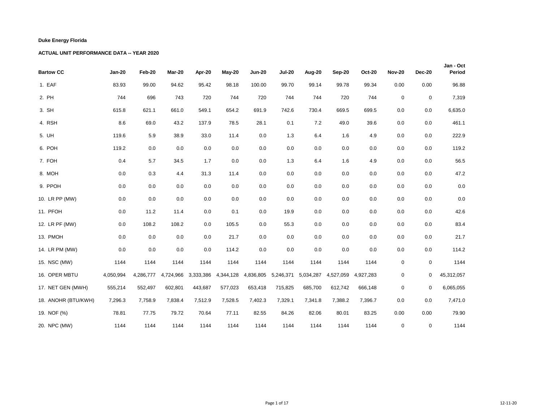| <b>Bartow CC</b>    | <b>Jan-20</b> | Feb-20    | Mar-20    | Apr-20    | May-20    | <b>Jun-20</b> | <b>Jul-20</b> | Aug-20    | Sep-20    | <b>Oct-20</b> | <b>Nov-20</b> | <b>Dec-20</b>    | Jan - Oct<br>Period |
|---------------------|---------------|-----------|-----------|-----------|-----------|---------------|---------------|-----------|-----------|---------------|---------------|------------------|---------------------|
| 1. EAF              | 83.93         | 99.00     | 94.62     | 95.42     | 98.18     | 100.00        | 99.70         | 99.14     | 99.78     | 99.34         | 0.00          | 0.00             | 96.88               |
| 2. PH               | 744           | 696       | 743       | 720       | 744       | 720           | 744           | 744       | 720       | 744           | $\mathbf 0$   | $\mathbf 0$      | 7,319               |
| 3. SH               | 615.8         | 621.1     | 661.0     | 549.1     | 654.2     | 691.9         | 742.6         | 730.4     | 669.5     | 699.5         | 0.0           | 0.0              | 6,635.0             |
| 4. RSH              | 8.6           | 69.0      | 43.2      | 137.9     | 78.5      | 28.1          | 0.1           | 7.2       | 49.0      | 39.6          | 0.0           | 0.0              | 461.1               |
| 5. UH               | 119.6         | 5.9       | 38.9      | 33.0      | 11.4      | 0.0           | 1.3           | 6.4       | 1.6       | 4.9           | 0.0           | 0.0              | 222.9               |
| 6. POH              | 119.2         | 0.0       | 0.0       | 0.0       | 0.0       | 0.0           | 0.0           | 0.0       | 0.0       | 0.0           | 0.0           | 0.0              | 119.2               |
| 7. FOH              | 0.4           | 5.7       | 34.5      | 1.7       | 0.0       | 0.0           | 1.3           | 6.4       | 1.6       | 4.9           | 0.0           | 0.0              | 56.5                |
| 8. MOH              | 0.0           | 0.3       | 4.4       | 31.3      | 11.4      | 0.0           | 0.0           | 0.0       | 0.0       | 0.0           | 0.0           | 0.0              | 47.2                |
| 9. PPOH             | 0.0           | 0.0       | 0.0       | 0.0       | 0.0       | 0.0           | 0.0           | 0.0       | 0.0       | 0.0           | 0.0           | 0.0              | $0.0\,$             |
| 10. LR PP (MW)      | 0.0           | 0.0       | 0.0       | 0.0       | 0.0       | 0.0           | 0.0           | 0.0       | 0.0       | 0.0           | 0.0           | 0.0              | $0.0\,$             |
| 11. PFOH            | 0.0           | 11.2      | 11.4      | 0.0       | 0.1       | 0.0           | 19.9          | 0.0       | 0.0       | 0.0           | 0.0           | 0.0              | 42.6                |
| 12. LR PF (MW)      | 0.0           | 108.2     | 108.2     | 0.0       | 105.5     | 0.0           | 55.3          | 0.0       | 0.0       | 0.0           | 0.0           | 0.0              | 83.4                |
| 13. PMOH            | 0.0           | 0.0       | 0.0       | 0.0       | 21.7      | 0.0           | 0.0           | 0.0       | 0.0       | 0.0           | 0.0           | 0.0              | 21.7                |
| 14. LR PM (MW)      | 0.0           | 0.0       | 0.0       | 0.0       | 114.2     | 0.0           | 0.0           | 0.0       | 0.0       | 0.0           | 0.0           | 0.0              | 114.2               |
| 15. NSC (MW)        | 1144          | 1144      | 1144      | 1144      | 1144      | 1144          | 1144          | 1144      | 1144      | 1144          | $\mathbf 0$   | $\boldsymbol{0}$ | 1144                |
| 16. OPER MBTU       | 4,050,994     | 4,286,777 | 4,724,966 | 3,333,386 | 4,344,128 | 4,836,805     | 5,246,371     | 5,034,287 | 4,527,059 | 4,927,283     | $\mathbf 0$   | 0                | 45,312,057          |
| 17. NET GEN (MWH)   | 555,214       | 552,497   | 602,801   | 443,687   | 577,023   | 653,418       | 715,825       | 685,700   | 612,742   | 666,148       | $\mathsf 0$   | $\mathbf 0$      | 6,065,055           |
| 18. ANOHR (BTU/KWH) | 7,296.3       | 7,758.9   | 7,838.4   | 7,512.9   | 7,528.5   | 7,402.3       | 7,329.1       | 7,341.8   | 7,388.2   | 7,396.7       | 0.0           | 0.0              | 7,471.0             |
| 19. NOF (%)         | 78.81         | 77.75     | 79.72     | 70.64     | 77.11     | 82.55         | 84.26         | 82.06     | 80.01     | 83.25         | 0.00          | 0.00             | 79.90               |
| 20. NPC (MW)        | 1144          | 1144      | 1144      | 1144      | 1144      | 1144          | 1144          | 1144      | 1144      | 1144          | $\mathbf 0$   | 0                | 1144                |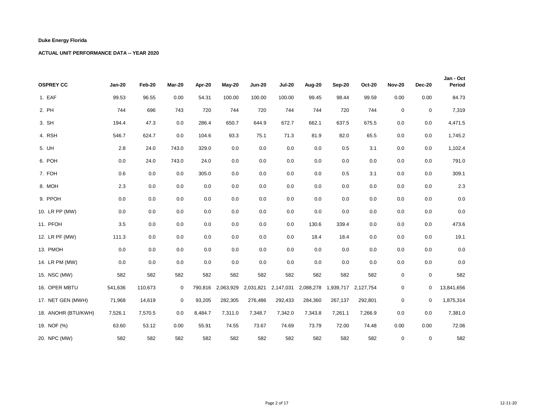| <b>OSPREY CC</b>    | <b>Jan-20</b> | Feb-20  | Mar-20      | Apr-20  | May-20            | <b>Jun-20</b> | <b>Jul-20</b> | Aug-20    | Sep-20  | <b>Oct-20</b>       | <b>Nov-20</b> | <b>Dec-20</b> | Jan - Oct<br>Period |
|---------------------|---------------|---------|-------------|---------|-------------------|---------------|---------------|-----------|---------|---------------------|---------------|---------------|---------------------|
| 1. EAF              | 99.53         | 96.55   | 0.00        | 54.31   | 100.00            | 100.00        | 100.00        | 99.45     | 98.44   | 99.59               | 0.00          | 0.00          | 84.73               |
| 2. PH               | 744           | 696     | 743         | 720     | 744               | 720           | 744           | 744       | 720     | 744                 | $\mathsf 0$   | $\mathbf 0$   | 7,319               |
| 3. SH               | 194.4         | 47.3    | 0.0         | 286.4   | 650.7             | 644.9         | 672.7         | 662.1     | 637.5   | 675.5               | 0.0           | 0.0           | 4,471.5             |
| 4. RSH              | 546.7         | 624.7   | 0.0         | 104.6   | 93.3              | 75.1          | 71.3          | 81.9      | 82.0    | 65.5                | 0.0           | 0.0           | 1,745.2             |
| 5. UH               | 2.8           | 24.0    | 743.0       | 329.0   | 0.0               | 0.0           | 0.0           | 0.0       | 0.5     | 3.1                 | 0.0           | 0.0           | 1,102.4             |
| 6. POH              | 0.0           | 24.0    | 743.0       | 24.0    | 0.0               | 0.0           | 0.0           | 0.0       | 0.0     | 0.0                 | 0.0           | 0.0           | 791.0               |
| 7. FOH              | 0.6           | 0.0     | 0.0         | 305.0   | 0.0               | 0.0           | 0.0           | 0.0       | 0.5     | 3.1                 | 0.0           | 0.0           | 309.1               |
| 8. MOH              | 2.3           | 0.0     | 0.0         | 0.0     | 0.0               | 0.0           | 0.0           | 0.0       | 0.0     | 0.0                 | 0.0           | 0.0           | $2.3\,$             |
| 9. PPOH             | 0.0           | 0.0     | 0.0         | 0.0     | 0.0               | 0.0           | 0.0           | 0.0       | 0.0     | 0.0                 | 0.0           | 0.0           | $0.0\,$             |
| 10. LR PP (MW)      | 0.0           | 0.0     | 0.0         | 0.0     | 0.0               | 0.0           | 0.0           | 0.0       | 0.0     | 0.0                 | 0.0           | 0.0           | $0.0\,$             |
| 11. PFOH            | 3.5           | 0.0     | 0.0         | 0.0     | 0.0               | 0.0           | 0.0           | 130.6     | 339.4   | 0.0                 | 0.0           | 0.0           | 473.6               |
| 12. LR PF (MW)      | 111.3         | 0.0     | 0.0         | 0.0     | 0.0               | 0.0           | 0.0           | 18.4      | 18.4    | 0.0                 | 0.0           | 0.0           | 19.1                |
| 13. PMOH            | 0.0           | 0.0     | 0.0         | 0.0     | 0.0               | 0.0           | 0.0           | 0.0       | 0.0     | 0.0                 | 0.0           | 0.0           | $0.0\,$             |
| 14. LR PM (MW)      | 0.0           | 0.0     | 0.0         | 0.0     | 0.0               | 0.0           | 0.0           | 0.0       | 0.0     | 0.0                 | 0.0           | 0.0           | 0.0                 |
| 15. NSC (MW)        | 582           | 582     | 582         | 582     | 582               | 582           | 582           | 582       | 582     | 582                 | $\pmb{0}$     | $\mathbf 0$   | 582                 |
| 16. OPER MBTU       | 541,636       | 110,673 | 0           |         | 790,816 2,063,929 | 2,031,821     | 2,147,031     | 2,088,278 |         | 1,939,717 2,127,754 | $\mathbf 0$   | 0             | 13,841,656          |
| 17. NET GEN (MWH)   | 71,968        | 14,619  | $\mathbf 0$ | 93,205  | 282,305           | 276,486       | 292,433       | 284,360   | 267,137 | 292,801             | $\pmb{0}$     | $\mathbf 0$   | 1,875,314           |
| 18. ANOHR (BTU/KWH) | 7,526.1       | 7,570.5 | 0.0         | 8,484.7 | 7,311.0           | 7,348.7       | 7,342.0       | 7,343.8   | 7,261.1 | 7,266.9             | 0.0           | 0.0           | 7,381.0             |
| 19. NOF (%)         | 63.60         | 53.12   | 0.00        | 55.91   | 74.55             | 73.67         | 74.69         | 73.79     | 72.00   | 74.48               | 0.00          | 0.00          | 72.06               |
| 20. NPC (MW)        | 582           | 582     | 582         | 582     | 582               | 582           | 582           | 582       | 582     | 582                 | $\mathbf 0$   | $\mathbf 0$   | 582                 |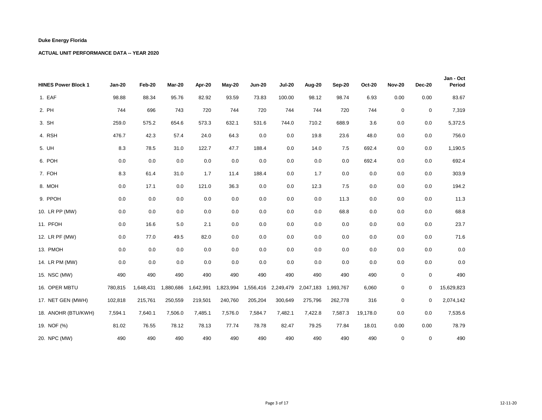| <b>HINES Power Block 1</b> | <b>Jan-20</b> | Feb-20    | Mar-20    | Apr-20    | May-20    | <b>Jun-20</b> | <b>Jul-20</b> | Aug-20    | Sep-20    | <b>Oct-20</b> | <b>Nov-20</b> | <b>Dec-20</b> | Jan - Oct<br>Period |
|----------------------------|---------------|-----------|-----------|-----------|-----------|---------------|---------------|-----------|-----------|---------------|---------------|---------------|---------------------|
| 1. EAF                     | 98.88         | 88.34     | 95.76     | 82.92     | 93.59     | 73.83         | 100.00        | 98.12     | 98.74     | 6.93          | 0.00          | 0.00          | 83.67               |
| 2. PH                      | 744           | 696       | 743       | 720       | 744       | 720           | 744           | 744       | 720       | 744           | $\mathsf 0$   | $\mathbf 0$   | 7,319               |
| 3. SH                      | 259.0         | 575.2     | 654.6     | 573.3     | 632.1     | 531.6         | 744.0         | 710.2     | 688.9     | 3.6           | 0.0           | 0.0           | 5,372.5             |
| 4. RSH                     | 476.7         | 42.3      | 57.4      | 24.0      | 64.3      | 0.0           | 0.0           | 19.8      | 23.6      | 48.0          | 0.0           | 0.0           | 756.0               |
| 5. UH                      | 8.3           | 78.5      | 31.0      | 122.7     | 47.7      | 188.4         | 0.0           | 14.0      | 7.5       | 692.4         | 0.0           | 0.0           | 1,190.5             |
| 6. POH                     | 0.0           | 0.0       | 0.0       | 0.0       | 0.0       | 0.0           | 0.0           | 0.0       | 0.0       | 692.4         | 0.0           | 0.0           | 692.4               |
| 7. FOH                     | 8.3           | 61.4      | 31.0      | 1.7       | 11.4      | 188.4         | 0.0           | 1.7       | 0.0       | 0.0           | 0.0           | 0.0           | 303.9               |
| 8. MOH                     | 0.0           | 17.1      | 0.0       | 121.0     | 36.3      | 0.0           | 0.0           | 12.3      | 7.5       | 0.0           | 0.0           | 0.0           | 194.2               |
| 9. PPOH                    | 0.0           | 0.0       | 0.0       | 0.0       | 0.0       | 0.0           | 0.0           | 0.0       | 11.3      | 0.0           | 0.0           | 0.0           | 11.3                |
| 10. LR PP (MW)             | 0.0           | 0.0       | 0.0       | 0.0       | 0.0       | 0.0           | 0.0           | 0.0       | 68.8      | 0.0           | 0.0           | 0.0           | 68.8                |
| 11. PFOH                   | 0.0           | 16.6      | 5.0       | 2.1       | 0.0       | 0.0           | 0.0           | 0.0       | 0.0       | 0.0           | 0.0           | 0.0           | 23.7                |
| 12. LR PF (MW)             | 0.0           | 77.0      | 49.5      | 82.0      | 0.0       | 0.0           | 0.0           | 0.0       | 0.0       | 0.0           | 0.0           | 0.0           | 71.6                |
| 13. PMOH                   | 0.0           | 0.0       | 0.0       | 0.0       | 0.0       | 0.0           | 0.0           | 0.0       | 0.0       | 0.0           | 0.0           | 0.0           | $0.0\,$             |
| 14. LR PM (MW)             | 0.0           | 0.0       | 0.0       | 0.0       | 0.0       | 0.0           | 0.0           | 0.0       | 0.0       | 0.0           | 0.0           | 0.0           | 0.0                 |
| 15. NSC (MW)               | 490           | 490       | 490       | 490       | 490       | 490           | 490           | 490       | 490       | 490           | $\pmb{0}$     | $\mathbf 0$   | 490                 |
| 16. OPER MBTU              | 780,815       | 1,648,431 | 1,880,686 | 1,642,991 | 1,823,994 | 1,556,416     | 2,249,479     | 2,047,183 | 1,993,767 | 6,060         | $\mathbf 0$   | $\mathbf 0$   | 15,629,823          |
| 17. NET GEN (MWH)          | 102,818       | 215,761   | 250,559   | 219,501   | 240,760   | 205,204       | 300,649       | 275,796   | 262,778   | 316           | $\pmb{0}$     | $\mathbf 0$   | 2,074,142           |
| 18. ANOHR (BTU/KWH)        | 7,594.1       | 7,640.1   | 7,506.0   | 7,485.1   | 7,576.0   | 7,584.7       | 7,482.1       | 7,422.8   | 7,587.3   | 19,178.0      | 0.0           | 0.0           | 7,535.6             |
| 19. NOF (%)                | 81.02         | 76.55     | 78.12     | 78.13     | 77.74     | 78.78         | 82.47         | 79.25     | 77.84     | 18.01         | 0.00          | 0.00          | 78.79               |
| 20. NPC (MW)               | 490           | 490       | 490       | 490       | 490       | 490           | 490           | 490       | 490       | 490           | $\mathbf 0$   | 0             | 490                 |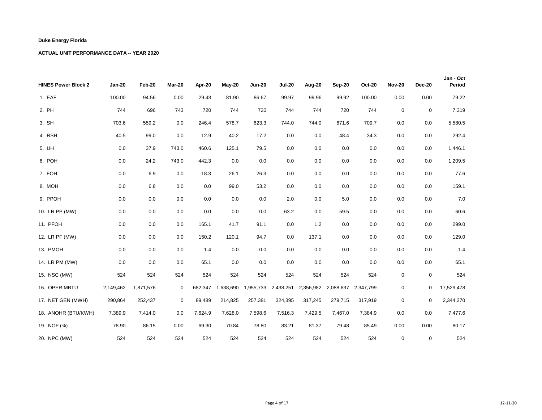| <b>HINES Power Block 2</b> | <b>Jan-20</b> | Feb-20    | Mar-20 | Apr-20  | May-20    | <b>Jun-20</b> | <b>Jul-20</b> | Aug-20    | Sep-20  | <b>Oct-20</b>       | <b>Nov-20</b> | <b>Dec-20</b> | Jan - Oct<br>Period |
|----------------------------|---------------|-----------|--------|---------|-----------|---------------|---------------|-----------|---------|---------------------|---------------|---------------|---------------------|
| 1. EAF                     | 100.00        | 94.56     | 0.00   | 29.43   | 81.90     | 86.67         | 99.97         | 99.96     | 99.92   | 100.00              | 0.00          | 0.00          | 79.22               |
| 2. PH                      | 744           | 696       | 743    | 720     | 744       | 720           | 744           | 744       | 720     | 744                 | $\mathbf 0$   | $\mathbf 0$   | 7,319               |
| 3. SH                      | 703.6         | 559.2     | 0.0    | 246.4   | 578.7     | 623.3         | 744.0         | 744.0     | 671.6   | 709.7               | 0.0           | 0.0           | 5,580.5             |
| 4. RSH                     | 40.5          | 99.0      | 0.0    | 12.9    | 40.2      | 17.2          | 0.0           | 0.0       | 48.4    | 34.3                | 0.0           | 0.0           | 292.4               |
| 5. UH                      | 0.0           | 37.9      | 743.0  | 460.6   | 125.1     | 79.5          | 0.0           | 0.0       | 0.0     | 0.0                 | 0.0           | 0.0           | 1,446.1             |
| 6. POH                     | 0.0           | 24.2      | 743.0  | 442.3   | 0.0       | 0.0           | 0.0           | 0.0       | 0.0     | 0.0                 | 0.0           | 0.0           | 1,209.5             |
| 7. FOH                     | 0.0           | 6.9       | 0.0    | 18.3    | 26.1      | 26.3          | 0.0           | 0.0       | 0.0     | 0.0                 | 0.0           | 0.0           | 77.6                |
| 8. MOH                     | 0.0           | 6.8       | 0.0    | 0.0     | 99.0      | 53.2          | 0.0           | 0.0       | 0.0     | 0.0                 | 0.0           | 0.0           | 159.1               |
| 9. PPOH                    | 0.0           | 0.0       | 0.0    | 0.0     | 0.0       | 0.0           | 2.0           | 0.0       | 5.0     | 0.0                 | 0.0           | 0.0           | 7.0                 |
| 10. LR PP (MW)             | 0.0           | 0.0       | 0.0    | 0.0     | 0.0       | 0.0           | 63.2          | 0.0       | 59.5    | 0.0                 | 0.0           | 0.0           | 60.6                |
| 11. PFOH                   | 0.0           | 0.0       | 0.0    | 165.1   | 41.7      | 91.1          | 0.0           | 1.2       | 0.0     | 0.0                 | 0.0           | 0.0           | 299.0               |
| 12. LR PF (MW)             | 0.0           | 0.0       | 0.0    | 150.2   | 120.1     | 94.7          | 0.0           | 137.1     | 0.0     | 0.0                 | 0.0           | 0.0           | 129.0               |
| 13. PMOH                   | 0.0           | 0.0       | 0.0    | 1.4     | 0.0       | 0.0           | 0.0           | 0.0       | 0.0     | 0.0                 | 0.0           | 0.0           | 1.4                 |
| 14. LR PM (MW)             | 0.0           | 0.0       | 0.0    | 65.1    | 0.0       | 0.0           | 0.0           | 0.0       | 0.0     | 0.0                 | 0.0           | 0.0           | 65.1                |
| 15. NSC (MW)               | 524           | 524       | 524    | 524     | 524       | 524           | 524           | 524       | 524     | 524                 | $\mathbf 0$   | $\mathbf 0$   | 524                 |
| 16. OPER MBTU              | 2,149,462     | 1,871,576 | 0      | 682,347 | 1,638,690 | 1,955,733     | 2,438,251     | 2,356,982 |         | 2,088,637 2,347,799 | $\pmb{0}$     | 0             | 17,529,478          |
| 17. NET GEN (MWH)          | 290,864       | 252,437   | 0      | 89,489  | 214,825   | 257,381       | 324,395       | 317,245   | 279,715 | 317,919             | $\mathbf 0$   | $\mathbf 0$   | 2,344,270           |
| 18. ANOHR (BTU/KWH)        | 7,389.9       | 7,414.0   | 0.0    | 7,624.9 | 7,628.0   | 7,598.6       | 7,516.3       | 7,429.5   | 7,467.0 | 7,384.9             | 0.0           | 0.0           | 7,477.6             |
| 19. NOF (%)                | 78.90         | 86.15     | 0.00   | 69.30   | 70.84     | 78.80         | 83.21         | 81.37     | 79.48   | 85.49               | 0.00          | 0.00          | 80.17               |
| 20. NPC (MW)               | 524           | 524       | 524    | 524     | 524       | 524           | 524           | 524       | 524     | 524                 | $\mathbf 0$   | $\mathbf 0$   | 524                 |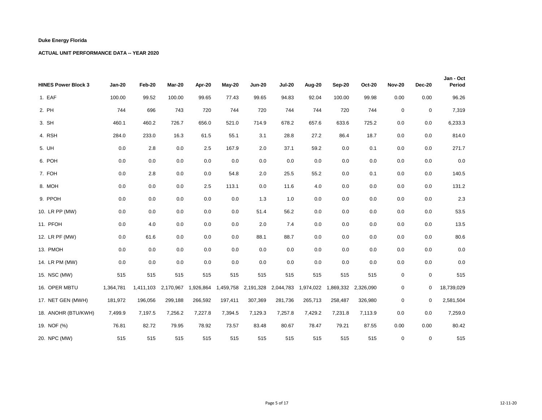| <b>HINES Power Block 3</b> | <b>Jan-20</b> | Feb-20  | Mar-20              | Apr-20    | May-20    | <b>Jun-20</b> | <b>Jul-20</b> | Aug-20    | Sep-20  | <b>Oct-20</b>       | <b>Nov-20</b> | <b>Dec-20</b> | Jan - Oct<br>Period |
|----------------------------|---------------|---------|---------------------|-----------|-----------|---------------|---------------|-----------|---------|---------------------|---------------|---------------|---------------------|
| 1. EAF                     | 100.00        | 99.52   | 100.00              | 99.65     | 77.43     | 99.65         | 94.83         | 92.04     | 100.00  | 99.98               | 0.00          | 0.00          | 96.26               |
| 2. PH                      | 744           | 696     | 743                 | 720       | 744       | 720           | 744           | 744       | 720     | 744                 | $\mathbf 0$   | $\mathbf 0$   | 7,319               |
| 3. SH                      | 460.1         | 460.2   | 726.7               | 656.0     | 521.0     | 714.9         | 678.2         | 657.6     | 633.6   | 725.2               | 0.0           | 0.0           | 6,233.3             |
| 4. RSH                     | 284.0         | 233.0   | 16.3                | 61.5      | 55.1      | 3.1           | 28.8          | 27.2      | 86.4    | 18.7                | 0.0           | 0.0           | 814.0               |
| 5. UH                      | 0.0           | 2.8     | 0.0                 | 2.5       | 167.9     | 2.0           | 37.1          | 59.2      | 0.0     | 0.1                 | 0.0           | 0.0           | 271.7               |
| 6. POH                     | 0.0           | 0.0     | 0.0                 | 0.0       | 0.0       | 0.0           | 0.0           | 0.0       | 0.0     | 0.0                 | 0.0           | 0.0           | $0.0\,$             |
| 7. FOH                     | 0.0           | 2.8     | 0.0                 | 0.0       | 54.8      | 2.0           | 25.5          | 55.2      | 0.0     | 0.1                 | 0.0           | 0.0           | 140.5               |
| 8. MOH                     | 0.0           | 0.0     | 0.0                 | 2.5       | 113.1     | 0.0           | 11.6          | 4.0       | 0.0     | 0.0                 | 0.0           | 0.0           | 131.2               |
| 9. PPOH                    | 0.0           | 0.0     | 0.0                 | 0.0       | 0.0       | 1.3           | 1.0           | 0.0       | 0.0     | 0.0                 | 0.0           | 0.0           | 2.3                 |
| 10. LR PP (MW)             | 0.0           | 0.0     | 0.0                 | 0.0       | 0.0       | 51.4          | 56.2          | 0.0       | 0.0     | 0.0                 | 0.0           | 0.0           | 53.5                |
| 11. PFOH                   | 0.0           | 4.0     | 0.0                 | 0.0       | 0.0       | 2.0           | 7.4           | 0.0       | 0.0     | 0.0                 | 0.0           | 0.0           | 13.5                |
| 12. LR PF (MW)             | 0.0           | 61.6    | 0.0                 | 0.0       | 0.0       | 88.1          | 88.7          | 0.0       | 0.0     | 0.0                 | 0.0           | 0.0           | 80.6                |
| 13. PMOH                   | 0.0           | 0.0     | 0.0                 | 0.0       | 0.0       | 0.0           | 0.0           | 0.0       | 0.0     | 0.0                 | 0.0           | 0.0           | $0.0\,$             |
| 14. LR PM (MW)             | 0.0           | 0.0     | 0.0                 | 0.0       | 0.0       | 0.0           | 0.0           | 0.0       | 0.0     | 0.0                 | 0.0           | 0.0           | 0.0                 |
| 15. NSC (MW)               | 515           | 515     | 515                 | 515       | 515       | 515           | 515           | 515       | 515     | 515                 | $\pmb{0}$     | $\mathbf 0$   | 515                 |
| 16. OPER MBTU              | 1,364,781     |         | 1,411,103 2,170,967 | 1,926,864 | 1,459,758 | 2,191,328     | 2,044,783     | 1,974,022 |         | 1,869,332 2,326,090 | $\mathbf 0$   | 0             | 18,739,029          |
| 17. NET GEN (MWH)          | 181,972       | 196,056 | 299,188             | 266,592   | 197,411   | 307,369       | 281,736       | 265,713   | 258,487 | 326,980             | $\pmb{0}$     | 0             | 2,581,504           |
| 18. ANOHR (BTU/KWH)        | 7,499.9       | 7,197.5 | 7,256.2             | 7,227.8   | 7,394.5   | 7,129.3       | 7,257.8       | 7,429.2   | 7,231.8 | 7,113.9             | 0.0           | 0.0           | 7,259.0             |
| 19. NOF (%)                | 76.81         | 82.72   | 79.95               | 78.92     | 73.57     | 83.48         | 80.67         | 78.47     | 79.21   | 87.55               | 0.00          | 0.00          | 80.42               |
| 20. NPC (MW)               | 515           | 515     | 515                 | 515       | 515       | 515           | 515           | 515       | 515     | 515                 | $\mathbf 0$   | 0             | 515                 |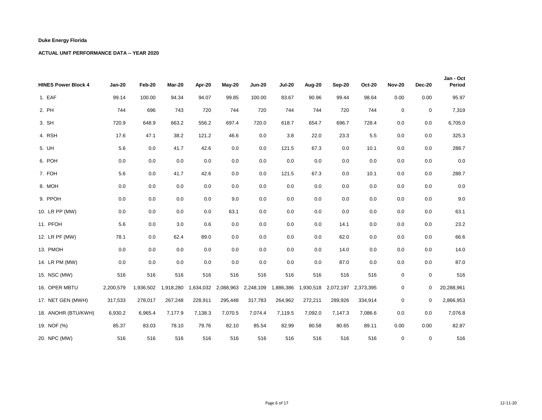| <b>HINES Power Block 4</b> | <b>Jan-20</b> | Feb-20    | Mar-20    | Apr-20    | May-20    | <b>Jun-20</b> | <b>Jul-20</b> | Aug-20    | Sep-20  | <b>Oct-20</b>       | <b>Nov-20</b> | <b>Dec-20</b> | Jan - Oct<br>Period |
|----------------------------|---------------|-----------|-----------|-----------|-----------|---------------|---------------|-----------|---------|---------------------|---------------|---------------|---------------------|
| 1. EAF                     | 99.14         | 100.00    | 94.34     | 94.07     | 99.85     | 100.00        | 83.67         | 90.96     | 99.44   | 98.64               | 0.00          | 0.00          | 95.97               |
| 2. PH                      | 744           | 696       | 743       | 720       | 744       | 720           | 744           | 744       | 720     | 744                 | $\mathbf 0$   | $\mathbf 0$   | 7,319               |
| 3. SH                      | 720.9         | 648.9     | 663.2     | 556.2     | 697.4     | 720.0         | 618.7         | 654.7     | 696.7   | 728.4               | 0.0           | 0.0           | 6,705.0             |
| 4. RSH                     | 17.6          | 47.1      | 38.2      | 121.2     | 46.6      | 0.0           | 3.8           | 22.0      | 23.3    | 5.5                 | 0.0           | 0.0           | 325.3               |
| 5. UH                      | 5.6           | 0.0       | 41.7      | 42.6      | 0.0       | 0.0           | 121.5         | 67.3      | 0.0     | 10.1                | 0.0           | 0.0           | 288.7               |
| 6. POH                     | 0.0           | 0.0       | 0.0       | 0.0       | 0.0       | 0.0           | 0.0           | 0.0       | 0.0     | 0.0                 | 0.0           | 0.0           | $0.0\,$             |
| 7. FOH                     | 5.6           | 0.0       | 41.7      | 42.6      | 0.0       | 0.0           | 121.5         | 67.3      | 0.0     | 10.1                | 0.0           | 0.0           | 288.7               |
| 8. MOH                     | 0.0           | 0.0       | 0.0       | 0.0       | 0.0       | 0.0           | 0.0           | 0.0       | 0.0     | 0.0                 | 0.0           | 0.0           | $0.0\,$             |
| 9. PPOH                    | 0.0           | 0.0       | 0.0       | 0.0       | 9.0       | 0.0           | 0.0           | 0.0       | 0.0     | 0.0                 | 0.0           | 0.0           | 9.0                 |
| 10. LR PP (MW)             | 0.0           | 0.0       | 0.0       | 0.0       | 63.1      | 0.0           | 0.0           | 0.0       | 0.0     | 0.0                 | 0.0           | 0.0           | 63.1                |
| 11. PFOH                   | 5.6           | 0.0       | 3.0       | 0.6       | 0.0       | 0.0           | 0.0           | 0.0       | 14.1    | 0.0                 | 0.0           | 0.0           | 23.2                |
| 12. LR PF (MW)             | 78.1          | 0.0       | 62.4      | 89.0      | 0.0       | 0.0           | 0.0           | 0.0       | 62.0    | 0.0                 | 0.0           | 0.0           | 66.6                |
| 13. PMOH                   | 0.0           | 0.0       | 0.0       | 0.0       | 0.0       | 0.0           | 0.0           | 0.0       | 14.0    | 0.0                 | 0.0           | 0.0           | 14.0                |
| 14. LR PM (MW)             | 0.0           | 0.0       | 0.0       | 0.0       | 0.0       | 0.0           | 0.0           | 0.0       | 87.0    | 0.0                 | 0.0           | 0.0           | 87.0                |
| 15. NSC (MW)               | 516           | 516       | 516       | 516       | 516       | 516           | 516           | 516       | 516     | 516                 | $\pmb{0}$     | $\mathbf 0$   | 516                 |
| 16. OPER MBTU              | 2,200,579     | 1,936,502 | 1,918,280 | 1,634,032 | 2,088,963 | 2,248,109     | 1,886,386     | 1,930,518 |         | 2,072,197 2,373,395 | $\mathbf 0$   | $\mathbf 0$   | 20,288,961          |
| 17. NET GEN (MWH)          | 317,533       | 278,017   | 267,248   | 228,911   | 295,448   | 317,783       | 264,962       | 272,211   | 289,926 | 334,914             | $\pmb{0}$     | 0             | 2,866,953           |
| 18. ANOHR (BTU/KWH)        | 6,930.2       | 6,965.4   | 7,177.9   | 7,138.3   | 7,070.5   | 7,074.4       | 7,119.5       | 7,092.0   | 7,147.3 | 7,086.6             | 0.0           | 0.0           | 7,076.8             |
| 19. NOF (%)                | 85.37         | 83.03     | 78.10     | 79.76     | 82.10     | 85.54         | 82.99         | 80.58     | 80.65   | 89.11               | 0.00          | 0.00          | 82.87               |
| 20. NPC (MW)               | 516           | 516       | 516       | 516       | 516       | 516           | 516           | 516       | 516     | 516                 | $\mathbf 0$   | $\mathbf 0$   | 516                 |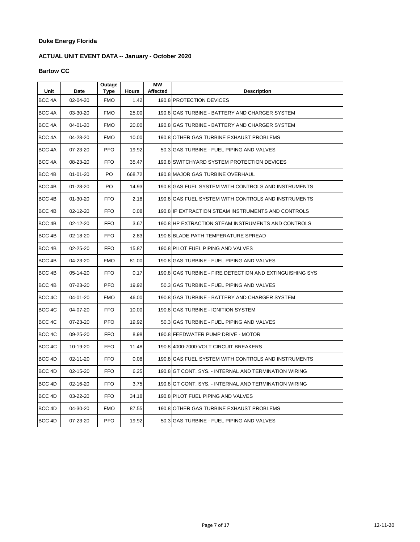# **ACTUAL UNIT EVENT DATA -- January - October 2020**

### **Bartow CC**

| Unit              | Date           | Outage<br>Type | <b>Hours</b> | <b>MW</b><br>Affected | <b>Description</b>                                       |
|-------------------|----------------|----------------|--------------|-----------------------|----------------------------------------------------------|
| BCC <sub>4A</sub> | 02-04-20       | <b>FMO</b>     | 1.42         |                       | 190.8 PROTECTION DEVICES                                 |
| BCC 4A            | 03-30-20       | <b>FMO</b>     | 25.00        |                       | 190.8 GAS TURBINE - BATTERY AND CHARGER SYSTEM           |
| BCC <sub>4A</sub> | 04-01-20       | <b>FMO</b>     | 20.00        |                       | 190.8 IGAS TURBINE - BATTERY AND CHARGER SYSTEM          |
| BCC <sub>4A</sub> | 04-28-20       | <b>FMO</b>     | 10.00        |                       | 190.8 OTHER GAS TURBINE EXHAUST PROBLEMS                 |
| BCC 4A            | 07-23-20       | <b>PFO</b>     | 19.92        |                       | 50.3 GAS TURBINE - FUEL PIPING AND VALVES                |
| BCC 4A            | 08-23-20       | FFO            | 35.47        |                       | 190.8 SWITCHYARD SYSTEM PROTECTION DEVICES               |
| BCC 4B            | $01 - 01 - 20$ | PO.            | 668.72       |                       | 190.8 MAJOR GAS TURBINE OVERHAUL                         |
| BCC 4B            | $01 - 28 - 20$ | PO             | 14.93        |                       | 190.8 GAS FUEL SYSTEM WITH CONTROLS AND INSTRUMENTS      |
| BCC 4B            | 01-30-20       | <b>FFO</b>     | 2.18         |                       | 190.8 GAS FUEL SYSTEM WITH CONTROLS AND INSTRUMENTS      |
| BCC 4B            | 02-12-20       | <b>FFO</b>     | 0.08         |                       | 190.8 IP EXTRACTION STEAM INSTRUMENTS AND CONTROLS       |
| BCC 4B            | 02-12-20       | <b>FFO</b>     | 3.67         |                       | 190.8 HP EXTRACTION STEAM INSTRUMENTS AND CONTROLS       |
| BCC 4B            | 02-18-20       | <b>FFO</b>     | 2.83         |                       | 190.8 BLADE PATH TEMPERATURE SPREAD                      |
| BCC 4B            | 02-25-20       | <b>FFO</b>     | 15.87        |                       | 190.8 PILOT FUEL PIPING AND VALVES                       |
| BCC 4B            | 04-23-20       | <b>FMO</b>     | 81.00        |                       | 190.8 GAS TURBINE - FUEL PIPING AND VALVES               |
| BCC <sub>4B</sub> | 05-14-20       | <b>FFO</b>     | 0.17         |                       | 190.8 GAS TURBINE - FIRE DETECTION AND EXTINGUISHING SYS |
| BCC <sub>4B</sub> | 07-23-20       | <b>PFO</b>     | 19.92        |                       | 50.3 GAS TURBINE - FUEL PIPING AND VALVES                |
| BCC 4C            | 04-01-20       | <b>FMO</b>     | 46.00        |                       | 190.8 GAS TURBINE - BATTERY AND CHARGER SYSTEM           |
| BCC <sub>4C</sub> | 04-07-20       | <b>FFO</b>     | 10.00        |                       | 190.8 GAS TURBINE - IGNITION SYSTEM                      |
| BCC <sub>4C</sub> | 07-23-20       | <b>PFO</b>     | 19.92        |                       | 50.3 GAS TURBINE - FUEL PIPING AND VALVES                |
| BCC 4C            | 09-25-20       | <b>FFO</b>     | 8.98         |                       | 190.8 FEEDWATER PUMP DRIVE - MOTOR                       |
| BCC 4C            | 10-19-20       | <b>FFO</b>     | 11.48        |                       | 190.8 4000-7000-VOLT CIRCUIT BREAKERS                    |
| BCC <sub>4D</sub> | 02-11-20       | <b>FFO</b>     | 0.08         |                       | 190.8 GAS FUEL SYSTEM WITH CONTROLS AND INSTRUMENTS      |
| BCC <sub>4D</sub> | 02-15-20       | <b>FFO</b>     | 6.25         |                       | 190.8 GT CONT. SYS. - INTERNAL AND TERMINATION WIRING    |
| BCC <sub>4D</sub> | 02-16-20       | <b>FFO</b>     | 3.75         |                       | 190.8 GT CONT. SYS. - INTERNAL AND TERMINATION WIRING    |
| BCC 4D            | 03-22-20       | FFO            | 34.18        |                       | 190.8 PILOT FUEL PIPING AND VALVES                       |
| BCC 4D            | 04-30-20       | <b>FMO</b>     | 87.55        |                       | 190.8 OTHER GAS TURBINE EXHAUST PROBLEMS                 |
| BCC <sub>4D</sub> | 07-23-20       | PFO            | 19.92        |                       | 50.3 GAS TURBINE - FUEL PIPING AND VALVES                |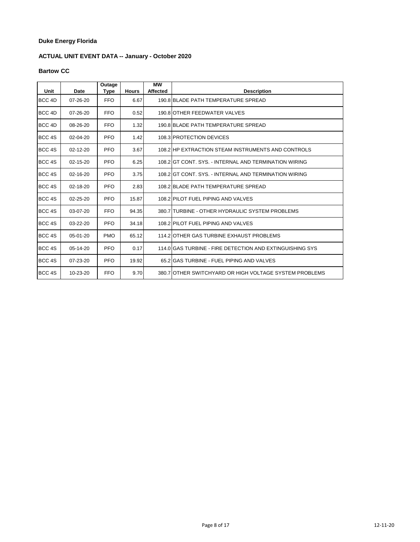# **ACTUAL UNIT EVENT DATA -- January - October 2020**

### **Bartow CC**

| Unit              | Date           | Outage<br>Type | <b>Hours</b> | <b>MW</b><br><b>Affected</b> | <b>Description</b>                                       |
|-------------------|----------------|----------------|--------------|------------------------------|----------------------------------------------------------|
| BCC <sub>4D</sub> | $07 - 26 - 20$ | <b>FFO</b>     | 6.67         |                              | 190.8 BLADE PATH TEMPERATURE SPREAD                      |
| BCC 4D            | 07-26-20       | <b>FFO</b>     | 0.52         |                              | 190.8 OTHER FEEDWATER VALVES                             |
| BCC 4D            | 08-26-20       | <b>FFO</b>     | 1.32         |                              | 190.8 BLADE PATH TEMPERATURE SPREAD                      |
| BCC <sub>4S</sub> | 02-04-20       | <b>PFO</b>     | 1.42         |                              | 108.3 PROTECTION DEVICES                                 |
| BCC <sub>4S</sub> | 02-12-20       | <b>PFO</b>     | 3.67         |                              | 108.2 HP EXTRACTION STEAM INSTRUMENTS AND CONTROLS       |
| BCC <sub>4S</sub> | $02 - 15 - 20$ | <b>PFO</b>     | 6.25         |                              | 108.2 GT CONT. SYS. - INTERNAL AND TERMINATION WIRING    |
| BCC <sub>4S</sub> | $02 - 16 - 20$ | PFO            | 3.75         |                              | 108.2 GT CONT. SYS. - INTERNAL AND TERMINATION WIRING    |
| BCC 4S            | $02 - 18 - 20$ | <b>PFO</b>     | 2.83         |                              | 108.2 BLADE PATH TEMPERATURE SPREAD                      |
| BCC 4S            | 02-25-20       | <b>PFO</b>     | 15.87        |                              | 108.2 PILOT FUEL PIPING AND VALVES                       |
| BCC <sub>4S</sub> | 03-07-20       | <b>FFO</b>     | 94.35        |                              | 380.7 ITURBINE - OTHER HYDRAULIC SYSTEM PROBLEMS         |
| BCC <sub>4S</sub> | 03-22-20       | <b>PFO</b>     | 34.18        |                              | 108.2 PILOT FUEL PIPING AND VALVES                       |
| BCC <sub>4S</sub> | $05-01-20$     | <b>PMO</b>     | 65.12        |                              | 114.2 OTHER GAS TURBINE EXHAUST PROBLEMS                 |
| BCC <sub>4S</sub> | 05-14-20       | PFO            | 0.17         |                              | 114 O GAS TURBINE - FIRE DETECTION AND EXTINGUISHING SYS |
| BCC 4S            | $07 - 23 - 20$ | PFO            | 19.92        |                              | 65.2 GAS TURBINE - FUEL PIPING AND VALVES                |
| BCC 4S            | 10-23-20       | <b>FFO</b>     | 9.70         |                              | 380.7 OTHER SWITCHYARD OR HIGH VOLTAGE SYSTEM PROBLEMS   |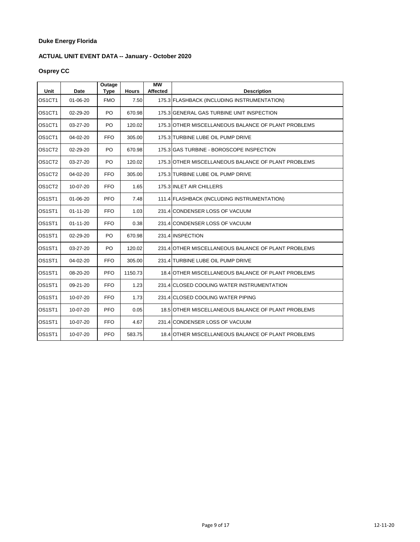# **ACTUAL UNIT EVENT DATA -- January - October 2020**

# **Osprey CC**

| Unit                            | Date           | Outage<br><b>Type</b> | <b>Hours</b> | <b>MW</b><br><b>Affected</b> | <b>Description</b>                                  |
|---------------------------------|----------------|-----------------------|--------------|------------------------------|-----------------------------------------------------|
| OS1CT1                          | $01 - 06 - 20$ | <b>FMO</b>            | 7.50         |                              | 175.3 FLASHBACK (INCLUDING INSTRUMENTATION)         |
| OS1CT1                          | 02-29-20       | PO                    | 670.98       |                              | 175.3 GENERAL GAS TURBINE UNIT INSPECTION           |
| OS <sub>1</sub> CT <sub>1</sub> | 03-27-20       | PO                    | 120.02       |                              | 175.3 OTHER MISCELLANEOUS BALANCE OF PLANT PROBLEMS |
| OS1CT1                          | 04-02-20       | <b>FFO</b>            | 305.00       |                              | 175.3 TURBINE LUBE OIL PUMP DRIVE                   |
| OS1CT2                          | 02-29-20       | PO                    | 670.98       |                              | 175.3 GAS TURBINE - BOROSCOPE INSPECTION            |
| OS1CT2                          | 03-27-20       | PO                    | 120.02       |                              | 175.3 OTHER MISCELLANEOUS BALANCE OF PLANT PROBLEMS |
| OS1CT2                          | 04-02-20       | <b>FFO</b>            | 305.00       |                              | 175.3 TURBINE LUBE OIL PUMP DRIVE                   |
| OS <sub>1</sub> CT <sub>2</sub> | 10-07-20       | FFO.                  | 1.65         |                              | 175.3 INLET AIR CHILLERS                            |
| OS1ST1                          | $01 - 06 - 20$ | PFO.                  | 7.48         |                              | 111.4 FLASHBACK (INCLUDING INSTRUMENTATION)         |
| OS1ST1                          | $01 - 11 - 20$ | <b>FFO</b>            | 1.03         |                              | 231.4 CONDENSER LOSS OF VACUUM                      |
| OS1ST1                          | $01 - 11 - 20$ | <b>FFO</b>            | 0.38         |                              | 231.4 CONDENSER LOSS OF VACUUM                      |
| OS1ST1                          | 02-29-20       | PO                    | 670.98       |                              | 231.4 INSPECTION                                    |
| OS1ST1                          | 03-27-20       | PO                    | 120.02       |                              | 231.4 OTHER MISCELLANEOUS BALANCE OF PLANT PROBLEMS |
| OS1ST1                          | 04-02-20       | <b>FFO</b>            | 305.00       |                              | 231.4 TURBINE LUBE OIL PUMP DRIVE                   |
| OS1ST1                          | 08-20-20       | <b>PFO</b>            | 1150.73      |                              | 18.4 OTHER MISCELLANEOUS BALANCE OF PLANT PROBLEMS  |
| OS <sub>1</sub> ST <sub>1</sub> | 09-21-20       | <b>FFO</b>            | 1.23         |                              | 231.4 CLOSED COOLING WATER INSTRUMENTATION          |
| OS1ST1                          | 10-07-20       | <b>FFO</b>            | 1.73         |                              | 231.4 CLOSED COOLING WATER PIPING                   |
| OS <sub>1</sub> ST <sub>1</sub> | 10-07-20       | <b>PFO</b>            | 0.05         |                              | 18.5 OTHER MISCELLANEOUS BALANCE OF PLANT PROBLEMS  |
| OS1ST1                          | 10-07-20       | <b>FFO</b>            | 4.67         |                              | 231.4 CONDENSER LOSS OF VACUUM                      |
| OS1ST1                          | 10-07-20       | <b>PFO</b>            | 583.75       |                              | 18.41 OTHER MISCELLANEOUS BALANCE OF PLANT PROBLEMS |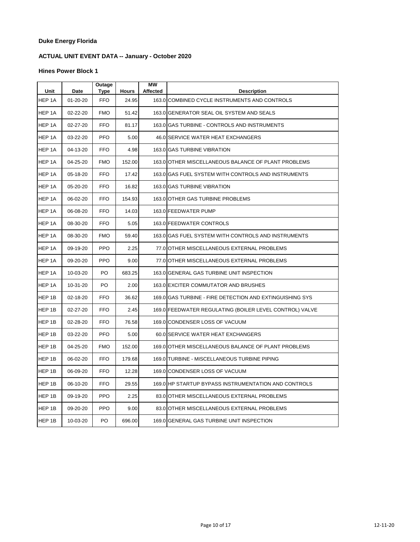# **ACTUAL UNIT EVENT DATA -- January - October 2020**

| Unit   | Date           | Outage<br>Type | <b>Hours</b> | <b>MW</b><br>Affected | <b>Description</b>                                       |
|--------|----------------|----------------|--------------|-----------------------|----------------------------------------------------------|
| HEP 1A | $01 - 20 - 20$ | <b>FFO</b>     | 24.95        |                       | 163.0 COMBINED CYCLE INSTRUMENTS AND CONTROLS            |
| HEP 1A | 02-22-20       | <b>FMO</b>     | 51.42        |                       | 163.0 GENERATOR SEAL OIL SYSTEM AND SEALS                |
| HEP 1A | 02-27-20       | <b>FFO</b>     | 81.17        |                       | 163.0 GAS TURBINE - CONTROLS AND INSTRUMENTS             |
| HEP 1A | 03-22-20       | <b>PFO</b>     | 5.00         |                       | 46.0 SERVICE WATER HEAT EXCHANGERS                       |
| HEP 1A | 04-13-20       | <b>FFO</b>     | 4.98         |                       | 163.0 GAS TURBINE VIBRATION                              |
| HEP 1A | 04-25-20       | <b>FMO</b>     | 152.00       |                       | 163.0 OTHER MISCELLANEOUS BALANCE OF PLANT PROBLEMS      |
| HEP 1A | 05-18-20       | <b>FFO</b>     | 17.42        |                       | 163.0 GAS FUEL SYSTEM WITH CONTROLS AND INSTRUMENTS      |
| HEP 1A | 05-20-20       | <b>FFO</b>     | 16.82        |                       | 163.0 GAS TURBINE VIBRATION                              |
| HEP 1A | 06-02-20       | <b>FFO</b>     | 154.93       |                       | 163.0 OTHER GAS TURBINE PROBLEMS                         |
| HEP 1A | 06-08-20       | <b>FFO</b>     | 14.03        |                       | 163.0 FEEDWATER PUMP                                     |
| HEP 1A | 08-30-20       | <b>FFO</b>     | 5.05         |                       | 163.0 FEEDWATER CONTROLS                                 |
| HEP 1A | 08-30-20       | <b>FMO</b>     | 59.40        |                       | 163.0 GAS FUEL SYSTEM WITH CONTROLS AND INSTRUMENTS      |
| HEP 1A | 09-19-20       | <b>PPO</b>     | 2.25         |                       | 77.0 OTHER MISCELLANEOUS EXTERNAL PROBLEMS               |
| HEP 1A | 09-20-20       | <b>PPO</b>     | 9.00         |                       | 77.0 OTHER MISCELLANEOUS EXTERNAL PROBLEMS               |
| HEP 1A | 10-03-20       | PO.            | 683.25       |                       | 163.0 GENERAL GAS TURBINE UNIT INSPECTION                |
| HEP 1A | 10-31-20       | PO             | 2.00         |                       | 163.0 EXCITER COMMUTATOR AND BRUSHES                     |
| HEP 1B | 02-18-20       | <b>FFO</b>     | 36.62        |                       | 169.0 GAS TURBINE - FIRE DETECTION AND EXTINGUISHING SYS |
| HEP 1B | 02-27-20       | <b>FFO</b>     | 2.45         |                       | 169.0 FEEDWATER REGULATING (BOILER LEVEL CONTROL) VALVE  |
| HEP 1B | 02-28-20       | <b>FFO</b>     | 76.58        |                       | 169.0 CONDENSER LOSS OF VACUUM                           |
| HEP 1B | 03-22-20       | <b>PFO</b>     | 5.00         |                       | 60.0 SERVICE WATER HEAT EXCHANGERS                       |
| HEP 1B | 04-25-20       | <b>FMO</b>     | 152.00       |                       | 169.0 OTHER MISCELLANEOUS BALANCE OF PLANT PROBLEMS      |
| HEP 1B | 06-02-20       | <b>FFO</b>     | 179.68       |                       | 169.0 TURBINE - MISCELLANEOUS TURBINE PIPING             |
| HEP 1B | 06-09-20       | <b>FFO</b>     | 12.28        |                       | 169.0 CONDENSER LOSS OF VACUUM                           |
| HEP 1B | 06-10-20       | <b>FFO</b>     | 29.55        |                       | 169.0 HP STARTUP BYPASS INSTRUMENTATION AND CONTROLS     |
| HEP 1B | 09-19-20       | <b>PPO</b>     | 2.25         |                       | 83.0 OTHER MISCELLANEOUS EXTERNAL PROBLEMS               |
| HEP 1B | 09-20-20       | <b>PPO</b>     | 9.00         |                       | 83.0 OTHER MISCELLANEOUS EXTERNAL PROBLEMS               |
| HEP 1B | 10-03-20       | PO             | 696.00       |                       | 169.0 GENERAL GAS TURBINE UNIT INSPECTION                |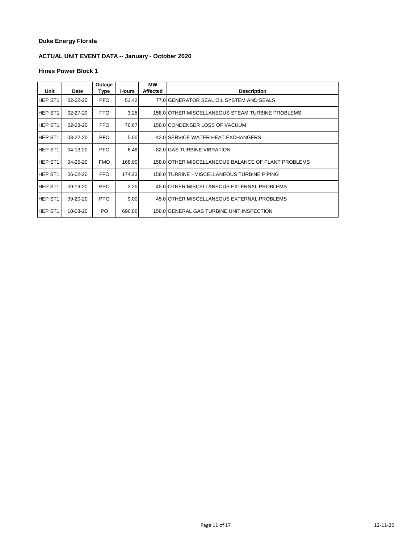# **ACTUAL UNIT EVENT DATA -- January - October 2020**

| Unit                | Date           | Outage<br>Type | <b>Hours</b> | <b>MW</b><br>Affected | <b>Description</b>                                  |
|---------------------|----------------|----------------|--------------|-----------------------|-----------------------------------------------------|
| <b>HEP ST1</b>      | 02-22-20       | PFO.           | 51.42        |                       | 77.0 GENERATOR SEAL OIL SYSTEM AND SEALS            |
| <b>HEP ST1</b>      | $02 - 27 - 20$ | FFO.           | 3.25         |                       | 158.0 OTHER MISCELLANEOUS STEAM TURBINE PROBLEMS    |
| HEP ST <sub>1</sub> | 02-28-20       | <b>FFO</b>     | 76.67        |                       | 158.0 CONDENSER LOSS OF VACUUM                      |
| HEP ST <sub>1</sub> | 03-22-20       | PFO.           | 5.00         |                       | 42.0 SERVICE WATER HEAT EXCHANGERS                  |
| <b>HEP ST1</b>      | 04-13-20       | <b>PFO</b>     | 6.48         |                       | 82.0 GAS TURBINE VIBRATION                          |
| HEP ST <sub>1</sub> | 04-25-20       | <b>FMO</b>     | 168.00       |                       | 158.0 OTHER MISCELLANEOUS BALANCE OF PLANT PROBLEMS |
| HEP ST <sub>1</sub> | 06-02-20       | FFO.           | 174.23       |                       | 158.0 TURBINE - MISCELLANEOUS TURBINE PIPING        |
| HEP ST1             | 09-19-20       | <b>PPO</b>     | 2.25         |                       | 45.0 OTHER MISCELLANEOUS EXTERNAL PROBLEMS          |
| HEP ST <sub>1</sub> | 09-20-20       | PPO.           | 9.00         |                       | 45.0 OTHER MISCELLANEOUS EXTERNAL PROBLEMS          |
| HEP ST1             | 10-03-20       | PO.            | 696.00       |                       | 158.0 GENERAL GAS TURBINE UNIT INSPECTION           |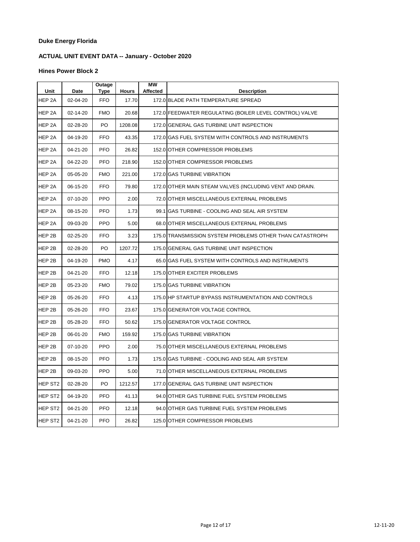# **ACTUAL UNIT EVENT DATA -- January - October 2020**

| Unit                | Date     | Outage<br>Type | <b>Hours</b> | MW<br><b>Affected</b> | <b>Description</b>                                       |
|---------------------|----------|----------------|--------------|-----------------------|----------------------------------------------------------|
| HEP 2A              | 02-04-20 | <b>FFO</b>     | 17.70        |                       | 172.0 BLADE PATH TEMPERATURE SPREAD                      |
| HEP 2A              | 02-14-20 | <b>FMO</b>     | 20.68        |                       | 172.0 FEEDWATER REGULATING (BOILER LEVEL CONTROL) VALVE  |
| HEP 2A              | 02-28-20 | PO             | 1208.08      |                       | 172.0 GENERAL GAS TURBINE UNIT INSPECTION                |
| HEP 2A              | 04-19-20 | <b>FFO</b>     | 43.35        |                       | 172.0 GAS FUEL SYSTEM WITH CONTROLS AND INSTRUMENTS      |
| HEP 2A              | 04-21-20 | <b>PFO</b>     | 26.82        |                       | 152.0 OTHER COMPRESSOR PROBLEMS                          |
| HEP 2A              | 04-22-20 | <b>PFO</b>     | 218.90       |                       | 152.0 OTHER COMPRESSOR PROBLEMS                          |
| HEP 2A              | 05-05-20 | <b>FMO</b>     | 221.00       |                       | 172.0 GAS TURBINE VIBRATION                              |
| HEP <sub>2A</sub>   | 06-15-20 | <b>FFO</b>     | 79.80        |                       | 172.0 OTHER MAIN STEAM VALVES (INCLUDING VENT AND DRAIN. |
| HEP <sub>2A</sub>   | 07-10-20 | <b>PPO</b>     | 2.00         |                       | 72.0 OTHER MISCELLANEOUS EXTERNAL PROBLEMS               |
| HEP 2A              | 08-15-20 | <b>PFO</b>     | 1.73         |                       | 99.1 IGAS TURBINE - COOLING AND SEAL AIR SYSTEM          |
| HEP 2A              | 09-03-20 | <b>PPO</b>     | 5.00         |                       | 68.0 OTHER MISCELLANEOUS EXTERNAL PROBLEMS               |
| HEP 2B              | 02-25-20 | <b>FFO</b>     | 3.23         |                       | 175.0 TRANSMISSION SYSTEM PROBLEMS OTHER THAN CATASTROPH |
| HEP 2B              | 02-28-20 | PO             | 1207.72      |                       | 175.0 GENERAL GAS TURBINE UNIT INSPECTION                |
| HEP 2B              | 04-19-20 | <b>PMO</b>     | 4.17         |                       | 65.0 GAS FUEL SYSTEM WITH CONTROLS AND INSTRUMENTS       |
| HEP 2B              | 04-21-20 | <b>FFO</b>     | 12.18        |                       | 175.0 OTHER EXCITER PROBLEMS                             |
| HEP 2B              | 05-23-20 | <b>FMO</b>     | 79.02        |                       | 175.0 GAS TURBINE VIBRATION                              |
| HEP 2B              | 05-26-20 | <b>FFO</b>     | 4.13         |                       | 175.0 HP STARTUP BYPASS INSTRUMENTATION AND CONTROLS     |
| HEP 2B              | 05-26-20 | <b>FFO</b>     | 23.67        |                       | 175.0 GENERATOR VOLTAGE CONTROL                          |
| HEP 2B              | 05-28-20 | <b>FFO</b>     | 50.62        |                       | 175.0 GENERATOR VOLTAGE CONTROL                          |
| HEP 2B              | 06-01-20 | <b>FMO</b>     | 159.92       |                       | 175.0 GAS TURBINE VIBRATION                              |
| HEP 2B              | 07-10-20 | <b>PPO</b>     | 2.00         |                       | 75.0 OTHER MISCELLANEOUS EXTERNAL PROBLEMS               |
| HEP 2B              | 08-15-20 | <b>PFO</b>     | 1.73         |                       | 175.0 GAS TURBINE - COOLING AND SEAL AIR SYSTEM          |
| HEP 2B              | 09-03-20 | <b>PPO</b>     | 5.00         |                       | 71.0 OTHER MISCELLANEOUS EXTERNAL PROBLEMS               |
| HEP ST <sub>2</sub> | 02-28-20 | PO             | 1212.57      |                       | 177.0 GENERAL GAS TURBINE UNIT INSPECTION                |
| HEP ST <sub>2</sub> | 04-19-20 | <b>PFO</b>     | 41.13        |                       | 94.0 OTHER GAS TURBINE FUEL SYSTEM PROBLEMS              |
| HEP ST <sub>2</sub> | 04-21-20 | <b>PFO</b>     | 12.18        |                       | 94.0 OTHER GAS TURBINE FUEL SYSTEM PROBLEMS              |
| HEP ST <sub>2</sub> | 04-21-20 | <b>PFO</b>     | 26.82        |                       | 125.0 OTHER COMPRESSOR PROBLEMS                          |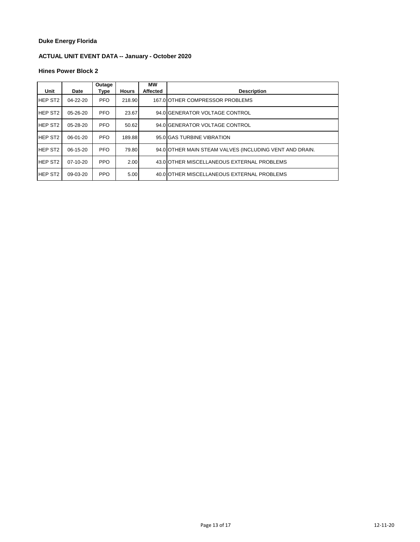# **ACTUAL UNIT EVENT DATA -- January - October 2020**

| Unit           | Date           | Outage<br>Type | <b>Hours</b> | <b>MW</b><br><b>Affected</b> | <b>Description</b>                                      |
|----------------|----------------|----------------|--------------|------------------------------|---------------------------------------------------------|
|                |                |                |              |                              |                                                         |
| <b>HEP ST2</b> | $04 - 22 - 20$ | <b>PFO</b>     | 218.90       |                              | 167.0 OTHER COMPRESSOR PROBLEMS                         |
| <b>HEP ST2</b> | $05 - 26 - 20$ | <b>PFO</b>     | 23.67        |                              | 94.0 GENERATOR VOLTAGE CONTROL                          |
| <b>HEP ST2</b> | $05 - 28 - 20$ | <b>PFO</b>     | 50.62        |                              | 94.0 GENERATOR VOLTAGE CONTROL                          |
| <b>HEP ST2</b> | $06-01-20$     | <b>PFO</b>     | 189.88       |                              | 95.0 GAS TURBINE VIBRATION                              |
| <b>HEP ST2</b> | 06-15-20       | <b>PFO</b>     | 79.80        |                              | 94.0 OTHER MAIN STEAM VALVES (INCLUDING VENT AND DRAIN. |
| <b>HEP ST2</b> | $07-10-20$     | <b>PPO</b>     | 2.00         |                              | 43.0 OTHER MISCELLANEOUS EXTERNAL PROBLEMS              |
| <b>HEP ST2</b> | 09-03-20       | <b>PPO</b>     | 5.00         |                              | 40.0 OTHER MISCELLANEOUS EXTERNAL PROBLEMS              |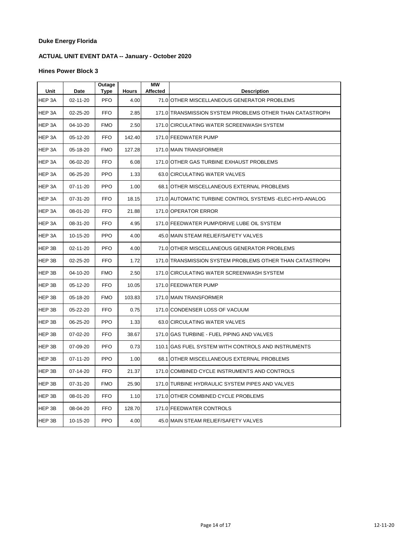# **ACTUAL UNIT EVENT DATA -- January - October 2020**

| Unit   | Date           | Outage<br>Type | <b>Hours</b> | <b>MW</b><br><b>Affected</b> | <b>Description</b>                                        |
|--------|----------------|----------------|--------------|------------------------------|-----------------------------------------------------------|
| HEP 3A | 02-11-20       | <b>PFO</b>     | 4.00         |                              | 71.0 OTHER MISCELLANEOUS GENERATOR PROBLEMS               |
| HEP 3A | 02-25-20       | <b>FFO</b>     | 2.85         |                              | 171.0 TRANSMISSION SYSTEM PROBLEMS OTHER THAN CATASTROPH  |
| HEP 3A | 04-10-20       | <b>FMO</b>     | 2.50         |                              | 171.0 CIRCULATING WATER SCREENWASH SYSTEM                 |
| HEP 3A | 05-12-20       | <b>FFO</b>     | 142.40       |                              | 171.0 FEEDWATER PUMP                                      |
| HEP 3A | 05-18-20       | <b>FMO</b>     | 127.28       |                              | 171.0 MAIN TRANSFORMER                                    |
| HEP 3A | 06-02-20       | <b>FFO</b>     | 6.08         |                              | 171.0 OTHER GAS TURBINE EXHAUST PROBLEMS                  |
| HEP 3A | 06-25-20       | <b>PPO</b>     | 1.33         |                              | 63.0 CIRCULATING WATER VALVES                             |
| HEP 3A | 07-11-20       | <b>PPO</b>     | 1.00         |                              | 68.1 OTHER MISCELLANEOUS EXTERNAL PROBLEMS                |
| HEP 3A | 07-31-20       | <b>FFO</b>     | 18.15        |                              | 171.0 AUTOMATIC TURBINE CONTROL SYSTEMS - ELEC-HYD-ANALOG |
| HEP 3A | 08-01-20       | <b>FFO</b>     | 21.88        |                              | 171.0 OPERATOR ERROR                                      |
| HEP 3A | 08-31-20       | <b>FFO</b>     | 4.95         |                              | 171.0 FEEDWATER PUMP/DRIVE LUBE OIL SYSTEM                |
| HEP 3A | 10-15-20       | <b>PPO</b>     | 4.00         |                              | 45.0 MAIN STEAM RELIEF/SAFETY VALVES                      |
| HEP 3B | $02 - 11 - 20$ | <b>PFO</b>     | 4.00         |                              | 71.0 OTHER MISCELLANEOUS GENERATOR PROBLEMS               |
| HEP 3B | 02-25-20       | <b>FFO</b>     | 1.72         |                              | 171.0 TRANSMISSION SYSTEM PROBLEMS OTHER THAN CATASTROPH  |
| HEP 3B | 04-10-20       | <b>FMO</b>     | 2.50         |                              | 171.0 CIRCULATING WATER SCREENWASH SYSTEM                 |
| HEP 3B | 05-12-20       | <b>FFO</b>     | 10.05        |                              | 171.0 FEEDWATER PUMP                                      |
| HEP 3B | 05-18-20       | <b>FMO</b>     | 103.83       |                              | 171.0 MAIN TRANSFORMER                                    |
| HEP 3B | 05-22-20       | <b>FFO</b>     | 0.75         |                              | 171.0 CONDENSER LOSS OF VACUUM                            |
| HEP 3B | 06-25-20       | <b>PPO</b>     | 1.33         |                              | 63.0 CIRCULATING WATER VALVES                             |
| HEP 3B | 07-02-20       | <b>FFO</b>     | 38.67        |                              | 171.0 GAS TURBINE - FUEL PIPING AND VALVES                |
| HEP 3B | 07-09-20       | <b>PFO</b>     | 0.73         |                              | 110.1 GAS FUEL SYSTEM WITH CONTROLS AND INSTRUMENTS       |
| HEP 3B | 07-11-20       | <b>PPO</b>     | 1.00         |                              | 68.1 OTHER MISCELLANEOUS EXTERNAL PROBLEMS                |
| HEP 3B | 07-14-20       | <b>FFO</b>     | 21.37        |                              | 171.0 COMBINED CYCLE INSTRUMENTS AND CONTROLS             |
| HEP 3B | 07-31-20       | <b>FMO</b>     | 25.90        |                              | 171.0 TURBINE HYDRAULIC SYSTEM PIPES AND VALVES           |
| HEP 3B | 08-01-20       | <b>FFO</b>     | 1.10         |                              | 171.0 OTHER COMBINED CYCLE PROBLEMS                       |
| HEP 3B | 08-04-20       | <b>FFO</b>     | 128.70       |                              | 171.0 FEEDWATER CONTROLS                                  |
| HEP 3B | 10-15-20       | <b>PPO</b>     | 4.00         |                              | 45.0 MAIN STEAM RELIEF/SAFETY VALVES                      |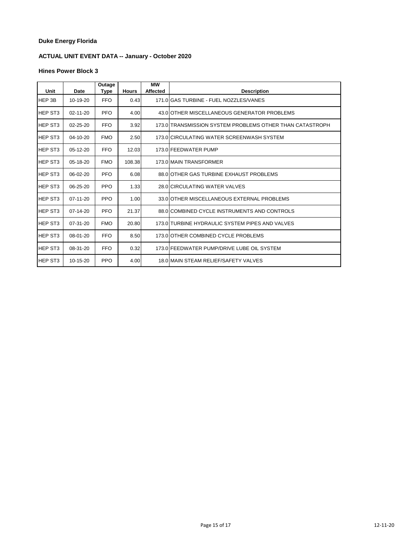# **ACTUAL UNIT EVENT DATA -- January - October 2020**

| Unit           | Date           | Outage<br>Type | <b>Hours</b> | МW<br><b>Affected</b> | <b>Description</b>                                       |
|----------------|----------------|----------------|--------------|-----------------------|----------------------------------------------------------|
| HEP 3B         | 10-19-20       | <b>FFO</b>     | 0.43         |                       | 171.0 GAS TURBINE - FUEL NOZZLES/VANES                   |
| <b>HEP ST3</b> | $02 - 11 - 20$ | <b>PFO</b>     | 4.00         |                       | 43.0 OTHER MISCELLANEOUS GENERATOR PROBLEMS              |
| HEP ST3        | $02 - 25 - 20$ | <b>FFO</b>     | 3.92         |                       | 173.0 TRANSMISSION SYSTEM PROBLEMS OTHER THAN CATASTROPH |
| <b>HEP ST3</b> | 04-10-20       | <b>FMO</b>     | 2.50         |                       | 173.0 CIRCULATING WATER SCREENWASH SYSTEM                |
| HEP ST3        | $05-12-20$     | <b>FFO</b>     | 12.03        |                       | 173.0 FEEDWATER PUMP                                     |
| HEP ST3        | $05-18-20$     | <b>FMO</b>     | 108.38       |                       | 173.0 MAIN TRANSFORMER                                   |
| <b>HEP ST3</b> | 06-02-20       | <b>PFO</b>     | 6.08         |                       | 88.0 OTHER GAS TURBINE EXHAUST PROBLEMS                  |
| HEP ST3        | $06 - 25 - 20$ | <b>PPO</b>     | 1.33         |                       | 28.0 CIRCULATING WATER VALVES                            |
| <b>HEP ST3</b> | $07-11-20$     | <b>PPO</b>     | 1.00         |                       | 33.0 OTHER MISCELLANEOUS EXTERNAL PROBLEMS               |
| <b>HEP ST3</b> | 07-14-20       | <b>PFO</b>     | 21.37        |                       | 88.0 COMBINED CYCLE INSTRUMENTS AND CONTROLS             |
| <b>HEP ST3</b> | $07 - 31 - 20$ | <b>FMO</b>     | 20.80        |                       | 173.0 TURBINE HYDRAULIC SYSTEM PIPES AND VALVES          |
| <b>HEP ST3</b> | 08-01-20       | <b>FFO</b>     | 8.50         |                       | 173.0 OTHER COMBINED CYCLE PROBLEMS                      |
| <b>HEP ST3</b> | 08-31-20       | <b>FFO</b>     | 0.32         |                       | 173.0 FEEDWATER PUMP/DRIVE LUBE OIL SYSTEM               |
| <b>HEP ST3</b> | 10-15-20       | <b>PPO</b>     | 4.00         |                       | 18.0 MAIN STEAM RELIEF/SAFETY VALVES                     |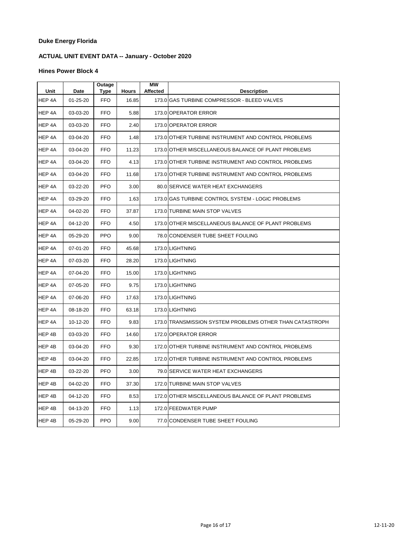# **ACTUAL UNIT EVENT DATA -- January - October 2020**

| Unit   | Date           | Outage<br>Type | <b>Hours</b> | <b>MW</b><br>Affected | <b>Description</b>                                       |
|--------|----------------|----------------|--------------|-----------------------|----------------------------------------------------------|
| HEP 4A | $01 - 25 - 20$ | <b>FFO</b>     | 16.85        |                       | 173.0 GAS TURBINE COMPRESSOR - BLEED VALVES              |
| HEP 4A | 03-03-20       | <b>FFO</b>     | 5.88         |                       | 173.0 OPERATOR ERROR                                     |
| HEP 4A | 03-03-20       | <b>FFO</b>     | 2.40         |                       | 173.0 OPERATOR ERROR                                     |
| HEP 4A | 03-04-20       | <b>FFO</b>     | 1.48         |                       | 173.0 OTHER TURBINE INSTRUMENT AND CONTROL PROBLEMS      |
| HEP 4A | 03-04-20       | <b>FFO</b>     | 11.23        |                       | 173.0 OTHER MISCELLANEOUS BALANCE OF PLANT PROBLEMS      |
| HEP 4A | 03-04-20       | <b>FFO</b>     | 4.13         |                       | 173.0 OTHER TURBINE INSTRUMENT AND CONTROL PROBLEMS      |
| HEP 4A | 03-04-20       | <b>FFO</b>     | 11.68        |                       | 173.0 OTHER TURBINE INSTRUMENT AND CONTROL PROBLEMS      |
| HEP 4A | 03-22-20       | <b>PFO</b>     | 3.00         |                       | 80.0 SERVICE WATER HEAT EXCHANGERS                       |
| HEP 4A | 03-29-20       | <b>FFO</b>     | 1.63         |                       | 173.0 GAS TURBINE CONTROL SYSTEM - LOGIC PROBLEMS        |
| HEP 4A | 04-02-20       | <b>FFO</b>     | 37.87        |                       | 173.0 TURBINE MAIN STOP VALVES                           |
| HEP 4A | 04-12-20       | <b>FFO</b>     | 4.50         |                       | 173.0 OTHER MISCELLANEOUS BALANCE OF PLANT PROBLEMS      |
| HEP 4A | 05-29-20       | <b>PPO</b>     | 9.00         |                       | 78.0 CONDENSER TUBE SHEET FOULING                        |
| HEP 4A | 07-01-20       | <b>FFO</b>     | 45.68        |                       | 173.0 LIGHTNING                                          |
| HEP 4A | 07-03-20       | <b>FFO</b>     | 28.20        |                       | 173.0 LIGHTNING                                          |
| HEP 4A | 07-04-20       | <b>FFO</b>     | 15.00        |                       | 173.0 LIGHTNING                                          |
| HEP 4A | 07-05-20       | <b>FFO</b>     | 9.75         |                       | 173.0 LIGHTNING                                          |
| HEP 4A | 07-06-20       | <b>FFO</b>     | 17.63        |                       | 173.0 LIGHTNING                                          |
| HEP 4A | 08-18-20       | <b>FFO</b>     | 63.18        |                       | 173.0 LIGHTNING                                          |
| HEP 4A | 10-12-20       | <b>FFO</b>     | 9.83         |                       | 173.0 TRANSMISSION SYSTEM PROBLEMS OTHER THAN CATASTROPH |
| HEP 4B | 03-03-20       | <b>FFO</b>     | 14.60        |                       | 172.0 OPERATOR ERROR                                     |
| HEP 4B | 03-04-20       | <b>FFO</b>     | 9.30         |                       | 172.0 OTHER TURBINE INSTRUMENT AND CONTROL PROBLEMS      |
| HEP 4B | 03-04-20       | <b>FFO</b>     | 22.85        |                       | 172.0 OTHER TURBINE INSTRUMENT AND CONTROL PROBLEMS      |
| HEP 4B | 03-22-20       | <b>PFO</b>     | 3.00         |                       | 79.0 SERVICE WATER HEAT EXCHANGERS                       |
| HEP 4B | 04-02-20       | <b>FFO</b>     | 37.30        |                       | 172.0 TURBINE MAIN STOP VALVES                           |
| HEP 4B | 04-12-20       | <b>FFO</b>     | 8.53         |                       | 172.0 OTHER MISCELLANEOUS BALANCE OF PLANT PROBLEMS      |
| HEP 4B | 04-13-20       | <b>FFO</b>     | 1.13         |                       | 172.0 FEEDWATER PUMP                                     |
| HEP 4B | 05-29-20       | <b>PPO</b>     | 9.00         |                       | 77.0 CONDENSER TUBE SHEET FOULING                        |